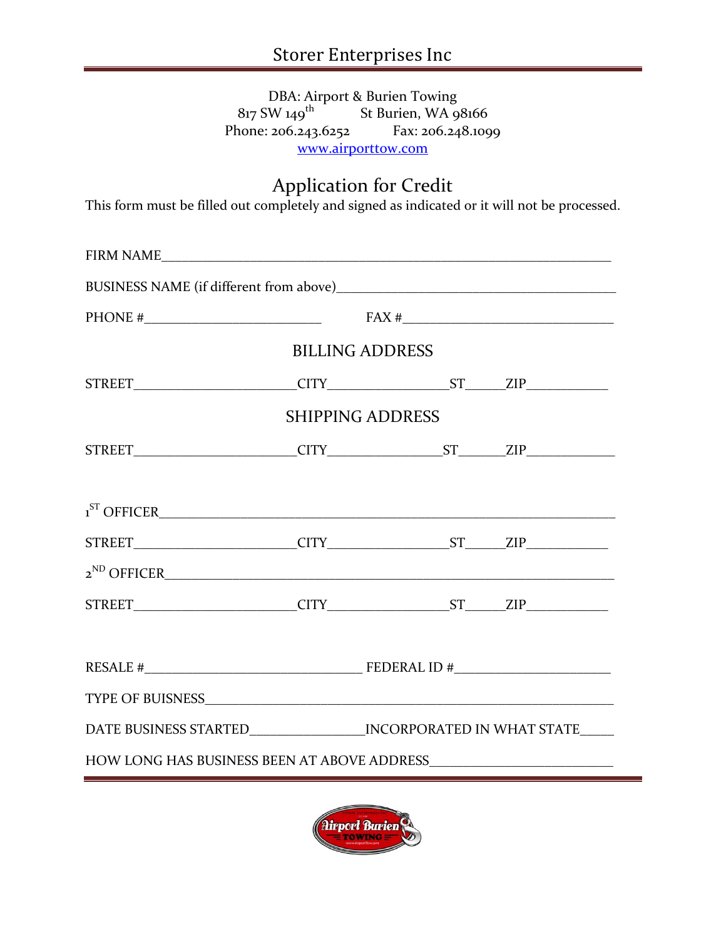#### DBA: Airport & Burien Towing  $817$  SW  $149$ <sup>th</sup> St Burien, WA 98166 Phone: 206.243.6252 Fax: 206.248.1099 [www.airporttow.com](http://www.airporttow.com/)

# Application for Credit

This form must be filled out completely and signed as indicated or it will not be processed.

|                                                                                                                                                                                                                                                                                                                                                                       | PHONE # $\qquad \qquad$ FAX # $\qquad \qquad$                           |  |  |  |  |  |  |
|-----------------------------------------------------------------------------------------------------------------------------------------------------------------------------------------------------------------------------------------------------------------------------------------------------------------------------------------------------------------------|-------------------------------------------------------------------------|--|--|--|--|--|--|
| <b>BILLING ADDRESS</b>                                                                                                                                                                                                                                                                                                                                                |                                                                         |  |  |  |  |  |  |
| $STREET \begin{picture}(100,100) \put(0,0){\dashbox{0.5}(10,0){ }} \put(15,0){\dashbox{0.5}(10,0){ }} \put(15,0){\dashbox{0.5}(10,0){ }} \put(15,0){\dashbox{0.5}(10,0){ }} \put(15,0){\dashbox{0.5}(10,0){ }} \put(15,0){\dashbox{0.5}(10,0){ }} \put(15,0){\dashbox{0.5}(10,0){ }} \put(15,0){\dashbox{0.5}(10,0){ }} \put(15,0){\dashbox{0.5}(10,0){ }} \put(15,0$ |                                                                         |  |  |  |  |  |  |
| <b>SHIPPING ADDRESS</b>                                                                                                                                                                                                                                                                                                                                               |                                                                         |  |  |  |  |  |  |
|                                                                                                                                                                                                                                                                                                                                                                       |                                                                         |  |  |  |  |  |  |
|                                                                                                                                                                                                                                                                                                                                                                       |                                                                         |  |  |  |  |  |  |
|                                                                                                                                                                                                                                                                                                                                                                       |                                                                         |  |  |  |  |  |  |
| $STREET$ CITY CITY ST $ST$ ZIP                                                                                                                                                                                                                                                                                                                                        |                                                                         |  |  |  |  |  |  |
|                                                                                                                                                                                                                                                                                                                                                                       |                                                                         |  |  |  |  |  |  |
|                                                                                                                                                                                                                                                                                                                                                                       |                                                                         |  |  |  |  |  |  |
|                                                                                                                                                                                                                                                                                                                                                                       |                                                                         |  |  |  |  |  |  |
|                                                                                                                                                                                                                                                                                                                                                                       | RESALE $\#$ PEDERAL ID $\#$                                             |  |  |  |  |  |  |
|                                                                                                                                                                                                                                                                                                                                                                       |                                                                         |  |  |  |  |  |  |
|                                                                                                                                                                                                                                                                                                                                                                       | DATE BUSINESS STARTED___________________INCORPORATED IN WHAT STATE_____ |  |  |  |  |  |  |
| HOW LONG HAS BUSINESS BEEN AT ABOVE ADDRESS                                                                                                                                                                                                                                                                                                                           |                                                                         |  |  |  |  |  |  |

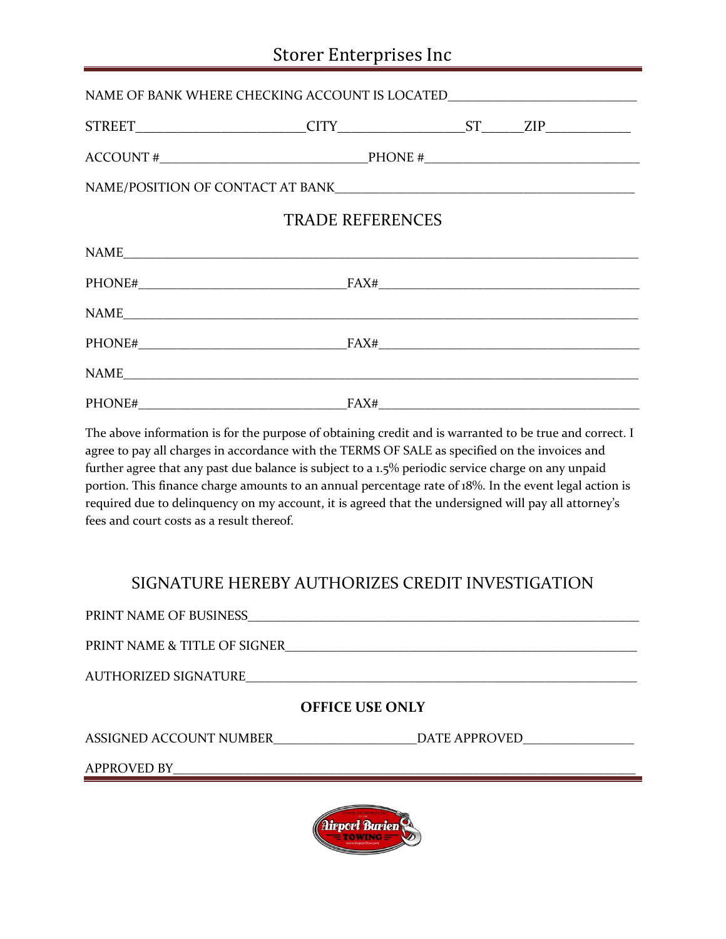# Storer Enterprises Inc

| NAME OF BANK WHERE CHECKING ACCOUNT IS LOCATED__________________________________ |  |  |  |  |  |  |  |
|----------------------------------------------------------------------------------|--|--|--|--|--|--|--|
|                                                                                  |  |  |  |  |  |  |  |
|                                                                                  |  |  |  |  |  |  |  |
|                                                                                  |  |  |  |  |  |  |  |
| <b>TRADE REFERENCES</b>                                                          |  |  |  |  |  |  |  |
|                                                                                  |  |  |  |  |  |  |  |
|                                                                                  |  |  |  |  |  |  |  |
|                                                                                  |  |  |  |  |  |  |  |
|                                                                                  |  |  |  |  |  |  |  |
| NAME                                                                             |  |  |  |  |  |  |  |
|                                                                                  |  |  |  |  |  |  |  |

The above information is for the purpose of obtaining credit and is warranted to be true and correct. I agree to pay all charges in accordance with the TERMS OF SALE as specified on the invoices and further agree that any past due balance is subject to a 1.5% periodic service charge on any unpaid portion. This finance charge amounts to an annual percentage rate of 18%. In the event legal action is required due to delinquency on my account, it is agreed that the undersigned will pay all attorney's fees and court costs as a result thereof.

## SIGNATURE HEREBY AUTHORIZES CREDIT INVESTIGATION

| PRINT NAME OF BUSINESS                |  |  |  |  |  |
|---------------------------------------|--|--|--|--|--|
| PRINT NAME & TITLE OF SIGNER          |  |  |  |  |  |
|                                       |  |  |  |  |  |
| <b>OFFICE USE ONLY</b>                |  |  |  |  |  |
| ASSIGNED ACCOUNT NUMBER DATE APPROVED |  |  |  |  |  |
| APPROVED BY                           |  |  |  |  |  |
|                                       |  |  |  |  |  |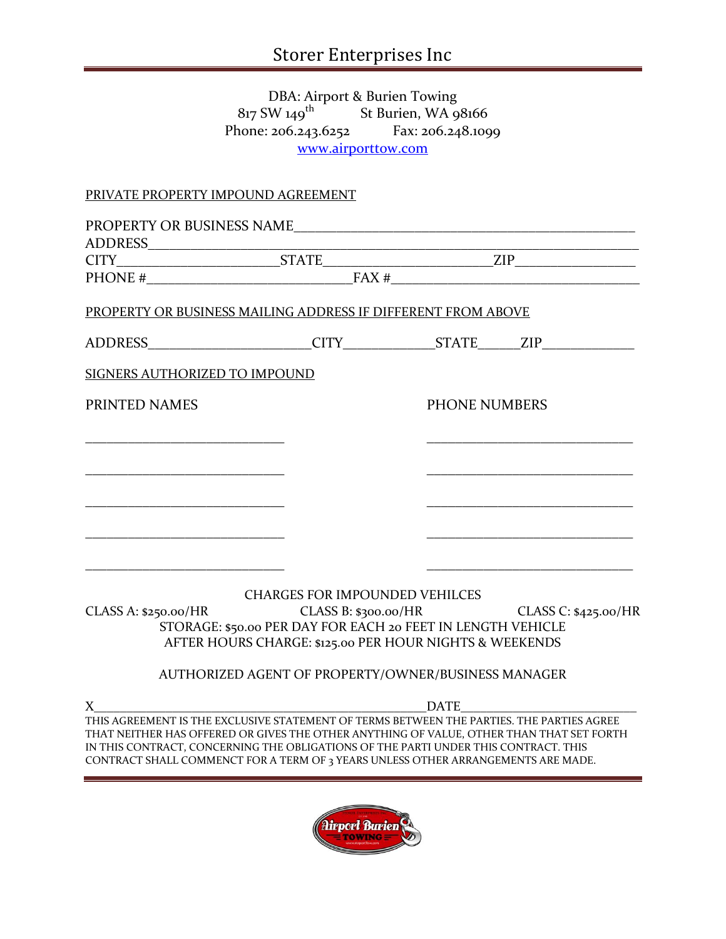#### DBA: Airport & Burien Towing  $817$  SW  $149$ <sup>th</sup> St Burien, WA 98166 Phone: 206.243.6252 Fax: 206.248.1099 [www.airporttow.com](http://www.airporttow.com/)

### PRIVATE PROPERTY IMPOUND AGREEMENT

| <b>ADDRESS</b>                                                                                                                                                                                                                                                                                                                                                    |                                                                                                                        |                      |                                              |  |
|-------------------------------------------------------------------------------------------------------------------------------------------------------------------------------------------------------------------------------------------------------------------------------------------------------------------------------------------------------------------|------------------------------------------------------------------------------------------------------------------------|----------------------|----------------------------------------------|--|
|                                                                                                                                                                                                                                                                                                                                                                   |                                                                                                                        |                      |                                              |  |
|                                                                                                                                                                                                                                                                                                                                                                   |                                                                                                                        | PHONE $\#$ FAX $\#$  |                                              |  |
| PROPERTY OR BUSINESS MAILING ADDRESS IF DIFFERENT FROM ABOVE                                                                                                                                                                                                                                                                                                      |                                                                                                                        |                      |                                              |  |
|                                                                                                                                                                                                                                                                                                                                                                   |                                                                                                                        |                      |                                              |  |
| SIGNERS AUTHORIZED TO IMPOUND                                                                                                                                                                                                                                                                                                                                     |                                                                                                                        |                      |                                              |  |
| PRINTED NAMES                                                                                                                                                                                                                                                                                                                                                     |                                                                                                                        | <b>PHONE NUMBERS</b> |                                              |  |
|                                                                                                                                                                                                                                                                                                                                                                   |                                                                                                                        |                      |                                              |  |
|                                                                                                                                                                                                                                                                                                                                                                   |                                                                                                                        |                      |                                              |  |
|                                                                                                                                                                                                                                                                                                                                                                   |                                                                                                                        |                      |                                              |  |
|                                                                                                                                                                                                                                                                                                                                                                   |                                                                                                                        |                      |                                              |  |
|                                                                                                                                                                                                                                                                                                                                                                   |                                                                                                                        |                      |                                              |  |
|                                                                                                                                                                                                                                                                                                                                                                   | <b>CHARGES FOR IMPOUNDED VEHILCES</b>                                                                                  |                      |                                              |  |
| CLASS A: \$250.00/HR                                                                                                                                                                                                                                                                                                                                              | $C1$ in the set                                                                                                        |                      | CLASS B: \$300.00/HR<br>CLASS C: \$425.00/HR |  |
|                                                                                                                                                                                                                                                                                                                                                                   | STORAGE: \$50.00 PER DAY FOR EACH 20 FEET IN LENGTH VEHICLE<br>AFTER HOURS CHARGE: \$125.00 PER HOUR NIGHTS & WEEKENDS |                      |                                              |  |
|                                                                                                                                                                                                                                                                                                                                                                   | AUTHORIZED AGENT OF PROPERTY/OWNER/BUSINESS MANAGER                                                                    |                      |                                              |  |
| $X_{-}$                                                                                                                                                                                                                                                                                                                                                           |                                                                                                                        |                      |                                              |  |
| THIS AGREEMENT IS THE EXCLUSIVE STATEMENT OF TERMS BETWEEN THE PARTIES. THE PARTIES AGREE<br>THAT NEITHER HAS OFFERED OR GIVES THE OTHER ANYTHING OF VALUE, OTHER THAN THAT SET FORTH<br>IN THIS CONTRACT, CONCERNING THE OBLIGATIONS OF THE PARTI UNDER THIS CONTRACT. THIS<br>CONTRACT SHALL COMMENCT FOR A TERM OF 3 YEARS UNLESS OTHER ARRANGEMENTS ARE MADE. |                                                                                                                        |                      |                                              |  |
|                                                                                                                                                                                                                                                                                                                                                                   |                                                                                                                        |                      |                                              |  |